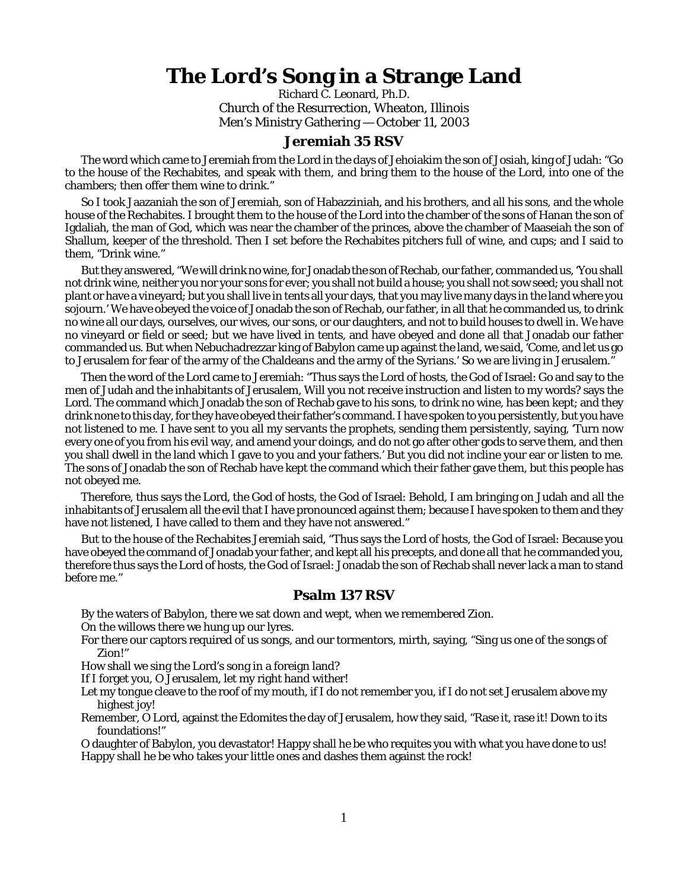# **The Lord's Song in a Strange Land**

Richard C. Leonard, Ph.D. Church of the Resurrection, Wheaton, Illinois Men's Ministry Gathering — October 11, 2003

### **Jeremiah 35 RSV**

The word which came to Jeremiah from the Lord in the days of Jehoiakim the son of Josiah, king of Judah: "Go to the house of the Rechabites, and speak with them, and bring them to the house of the Lord, into one of the chambers; then offer them wine to drink."

So I took Jaazaniah the son of Jeremiah, son of Habazziniah, and his brothers, and all his sons, and the whole house of the Rechabites. I brought them to the house of the Lord into the chamber of the sons of Hanan the son of Igdaliah, the man of God, which was near the chamber of the princes, above the chamber of Maaseiah the son of Shallum, keeper of the threshold. Then I set before the Rechabites pitchers full of wine, and cups; and I said to them, "Drink wine."

But they answered, "We will drink no wine, for Jonadab the son of Rechab, our father, commanded us, 'You shall not drink wine, neither you nor your sons for ever; you shall not build a house; you shall not sow seed; you shall not plant or have a vineyard; but you shall live in tents all your days, that you may live many days in the land where you sojourn.' We have obeyed the voice of Jonadab the son of Rechab, our father, in all that he commanded us, to drink no wine all our days, ourselves, our wives, our sons, or our daughters, and not to build houses to dwell in. We have no vineyard or field or seed; but we have lived in tents, and have obeyed and done all that Jonadab our father commanded us. But when Nebuchadrezzar king of Babylon came up against the land, we said, 'Come, and let us go to Jerusalem for fear of the army of the Chaldeans and the army of the Syrians.' So we are living in Jerusalem."

Then the word of the Lord came to Jeremiah: "Thus says the Lord of hosts, the God of Israel: Go and say to the men of Judah and the inhabitants of Jerusalem, Will you not receive instruction and listen to my words? says the Lord. The command which Jonadab the son of Rechab gave to his sons, to drink no wine, has been kept; and they drink none to this day, for they have obeyed their father's command. I have spoken to you persistently, but you have not listened to me. I have sent to you all my servants the prophets, sending them persistently, saying, 'Turn now every one of you from his evil way, and amend your doings, and do not go after other gods to serve them, and then you shall dwell in the land which I gave to you and your fathers.' But you did not incline your ear or listen to me. The sons of Jonadab the son of Rechab have kept the command which their father gave them, but this people has not obeyed me.

Therefore, thus says the Lord, the God of hosts, the God of Israel: Behold, I am bringing on Judah and all the inhabitants of Jerusalem all the evil that I have pronounced against them; because I have spoken to them and they have not listened, I have called to them and they have not answered."

But to the house of the Rechabites Jeremiah said, "Thus says the Lord of hosts, the God of Israel: Because you have obeyed the command of Jonadab your father, and kept all his precepts, and done all that he commanded you, therefore thus says the Lord of hosts, the God of Israel: Jonadab the son of Rechab shall never lack a man to stand before me."

### **Psalm 137 RSV**

By the waters of Babylon, there we sat down and wept, when we remembered Zion.

On the willows there we hung up our lyres.

For there our captors required of us songs, and our tormentors, mirth, saying, "Sing us one of the songs of Zion!"

How shall we sing the Lord's song in a foreign land?

If I forget you, O Jerusalem, let my right hand wither!

Let my tongue cleave to the roof of my mouth, if I do not remember you, if I do not set Jerusalem above my highest joy!

Remember, O Lord, against the Edomites the day of Jerusalem, how they said, "Rase it, rase it! Down to its foundations!"

O daughter of Babylon, you devastator! Happy shall he be who requites you with what you have done to us! Happy shall he be who takes your little ones and dashes them against the rock!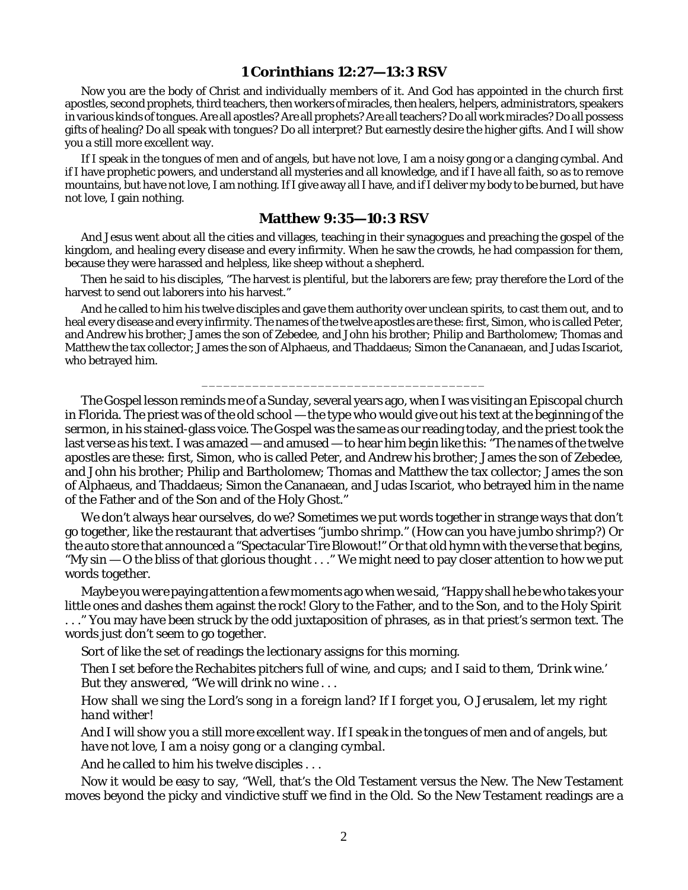#### **1 Corinthians 12:27—13:3 RSV**

Now you are the body of Christ and individually members of it. And God has appointed in the church first apostles, second prophets, third teachers, then workers of miracles, then healers, helpers, administrators, speakers in various kinds of tongues. Are all apostles? Are all prophets? Are all teachers? Do all work miracles? Do all possess gifts of healing? Do all speak with tongues? Do all interpret? But earnestly desire the higher gifts. And I will show you a still more excellent way.

If I speak in the tongues of men and of angels, but have not love, I am a noisy gong or a clanging cymbal. And if I have prophetic powers, and understand all mysteries and all knowledge, and if I have all faith, so as to remove mountains, but have not love, I am nothing. If I give away all I have, and if I deliver my body to be burned, but have not love, I gain nothing.

## **Matthew 9:35—10:3 RSV**

And Jesus went about all the cities and villages, teaching in their synagogues and preaching the gospel of the kingdom, and healing every disease and every infirmity. When he saw the crowds, he had compassion for them, because they were harassed and helpless, like sheep without a shepherd.

Then he said to his disciples, "The harvest is plentiful, but the laborers are few; pray therefore the Lord of the harvest to send out laborers into his harvest."

And he called to him his twelve disciples and gave them authority over unclean spirits, to cast them out, and to heal every disease and every infirmity. The names of the twelve apostles are these: first, Simon, who is called Peter, and Andrew his brother; James the son of Zebedee, and John his brother; Philip and Bartholomew; Thomas and Matthew the tax collector; James the son of Alphaeus, and Thaddaeus; Simon the Cananaean, and Judas Iscariot, who betrayed him.

\_\_\_\_\_\_\_\_\_\_\_\_\_\_\_\_\_\_\_\_\_\_\_\_\_\_\_\_\_\_\_\_\_\_\_\_\_\_\_

The Gospel lesson reminds me of a Sunday, several years ago, when I was visiting an Episcopal church in Florida. The priest was of the old school — the type who would give out his text at the beginning of the sermon, in his stained-glass voice. The Gospel was the same as our reading today, and the priest took the last verse as his text. I was amazed — and amused — to hear him begin like this: "The names of the twelve apostles are these: first, Simon, who is called Peter, and Andrew his brother; James the son of Zebedee, and John his brother; Philip and Bartholomew; Thomas and Matthew the tax collector; James the son of Alphaeus, and Thaddaeus; Simon the Cananaean, and Judas Iscariot, who betrayed him in the name of the Father and of the Son and of the Holy Ghost."

We don't always hear *ourselves*, do we? Sometimes we put words together in strange ways that don't go together, like the restaurant that advertises "jumbo shrimp." (How can you have *jumbo shrimp*?) Or the auto store that announced a "Spectacular Tire Blowout!" Or that old hymn with the verse that begins, "My sin — O the bliss of that glorious thought . . ." We might need to pay closer attention to how we put words together.

Maybe you *were* paying attention a few moments ago when we said, "Happy shall he be who takes your little ones and dashes them against the rock! Glory to the Father, and to the Son, and to the Holy Spirit . . ." You may have been struck by the odd juxtaposition of phrases, as in that priest's sermon text. The words just don't seem to go together.

Sort of like the set of readings the lectionary assigns for this morning.

*Then I set before the Rechabites pitchers full of wine, and cups; and I said to them, 'Drink wine.' But they answered, "We will drink no wine . . .*

*How shall we sing the Lord's song in a foreign land? If I forget you, O Jerusalem, let my right hand wither!*

*And I will show you a still more excellent way. If I speak in the tongues of men and of angels, but have not love, I am a noisy gong or a clanging cymbal.*

*And he called to him his twelve disciples . . .*

Now it would be easy to say, "Well, that's the Old Testament versus the New. The New Testament moves beyond the picky and vindictive stuff we find in the Old. So the New Testament readings are a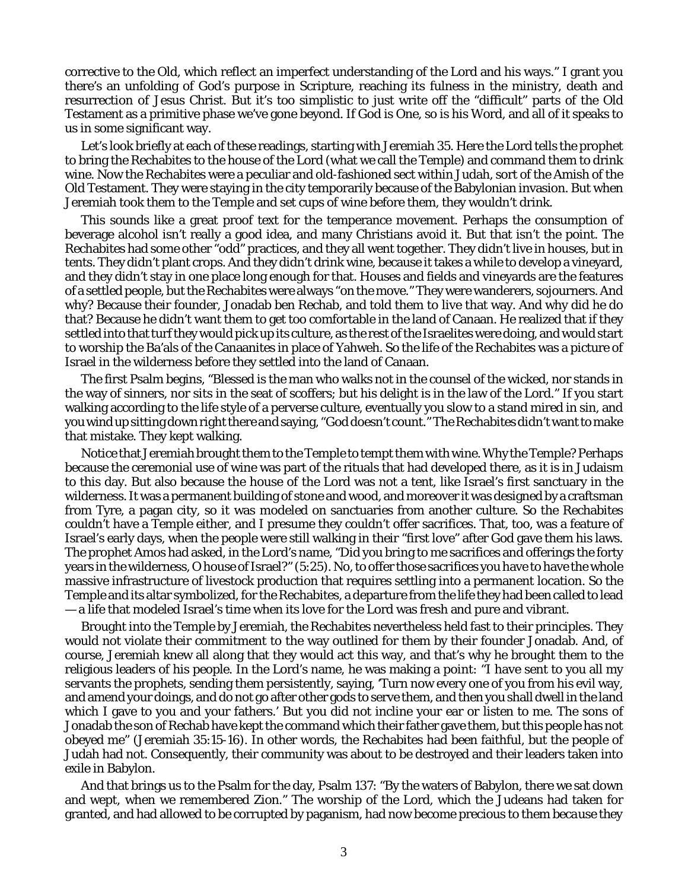corrective to the Old, which reflect an imperfect understanding of the Lord and his ways." I grant you there's an unfolding of God's purpose in Scripture, reaching its fulness in the ministry, death and resurrection of Jesus Christ. But it's too simplistic to just write off the "difficult" parts of the Old Testament as a primitive phase we've gone beyond. If God is One, so is his Word, and all of it speaks to us in some significant way.

Let's look briefly at each of these readings, starting with Jeremiah 35. Here the Lord tells the prophet to bring the Rechabites to the house of the Lord (what we call the Temple) and command them to drink wine. Now the Rechabites were a peculiar and old-fashioned sect within Judah, sort of the Amish of the Old Testament. They were staying in the city temporarily because of the Babylonian invasion. But when Jeremiah took them to the Temple and set cups of wine before them, they wouldn't drink.

This sounds like a great proof text for the temperance movement. Perhaps the consumption of beverage alcohol isn't really a good idea, and many Christians avoid it. But that isn't the point. The Rechabites had some other "odd" practices, and they all went together. They didn't live in houses, but in tents. They didn't plant crops. And they didn't drink wine, because it takes a while to develop a vineyard, and they didn't stay in one place long enough for that. Houses and fields and vineyards are the features of a settled people, but the Rechabites were always "on the move." They were wanderers, sojourners. And why? Because their founder, Jonadab ben Rechab, and told them to live that way. And why did he do that? Because he didn't want them to get too comfortable in the land of Canaan. He realized that if they settled into that turf they would pick up its culture, as the rest of the Israelites were doing, and would start to worship the Ba'als of the Canaanites in place of Yahweh. So the life of the Rechabites was a picture of Israel in the wilderness before they settled into the land of Canaan.

The first Psalm begins, "Blessed is the man who walks not in the counsel of the wicked, nor stands in the way of sinners, nor sits in the seat of scoffers; but his delight is in the law of the Lord." If you start walking according to the life style of a perverse culture, eventually you slow to a stand mired in sin, and you wind up sitting down right there and saying, "God doesn't count." The Rechabites didn't want to make that mistake. They kept walking.

Notice that Jeremiah brought them to the Temple to tempt them with wine. Why the Temple? Perhaps because the ceremonial use of wine was part of the rituals that had developed there, as it is in Judaism to this day. But also because the house of the Lord was *not* a tent, like Israel's first sanctuary in the wilderness. It was a permanent building of stone and wood, and moreover it was designed by a craftsman from Tyre, a pagan city, so it was modeled on sanctuaries from another culture. So the Rechabites couldn't have a Temple either, and I presume they couldn't offer sacrifices. That, too, was a feature of Israel's early days, when the people were still walking in their "first love" after God gave them his laws. The prophet Amos had asked, in the Lord's name, "Did you bring to me sacrifices and offerings the forty years in the wilderness, O house of Israel?" (5:25). No, to offer those sacrifices you have to have the whole massive infrastructure of livestock production that requires settling into a permanent location. So the Temple and its altar symbolized, for the Rechabites, a departure from the life they had been called to lead — a life that modeled Israel's time when its love for the Lord was fresh and pure and vibrant.

Brought into the Temple by Jeremiah, the Rechabites nevertheless held fast to their principles. They would not violate their commitment to the way outlined for them by their founder Jonadab. And, of course, Jeremiah knew all along that they would act this way, and that's why he brought them to the religious leaders of his people. In the Lord's name, he was making a point: "I have sent to you all my servants the prophets, sending them persistently, saying, 'Turn now every one of you from his evil way, and amend your doings, and do not go after other gods to serve them, and then you shall dwell in the land which I gave to you and your fathers.' But you did not incline your ear or listen to me. The sons of Jonadab the son of Rechab have kept the command which their father gave them, but this people has not obeyed me" (Jeremiah 35:15-16). In other words, the Rechabites had been faithful, but the people of Judah had not. Consequently, their community was about to be destroyed and their leaders taken into exile in Babylon.

And that brings us to the Psalm for the day, Psalm 137: "By the waters of Babylon, there we sat down and wept, when we remembered Zion." The worship of the Lord, which the Judeans had taken for granted, and had allowed to be corrupted by paganism, had now become precious to them *because they*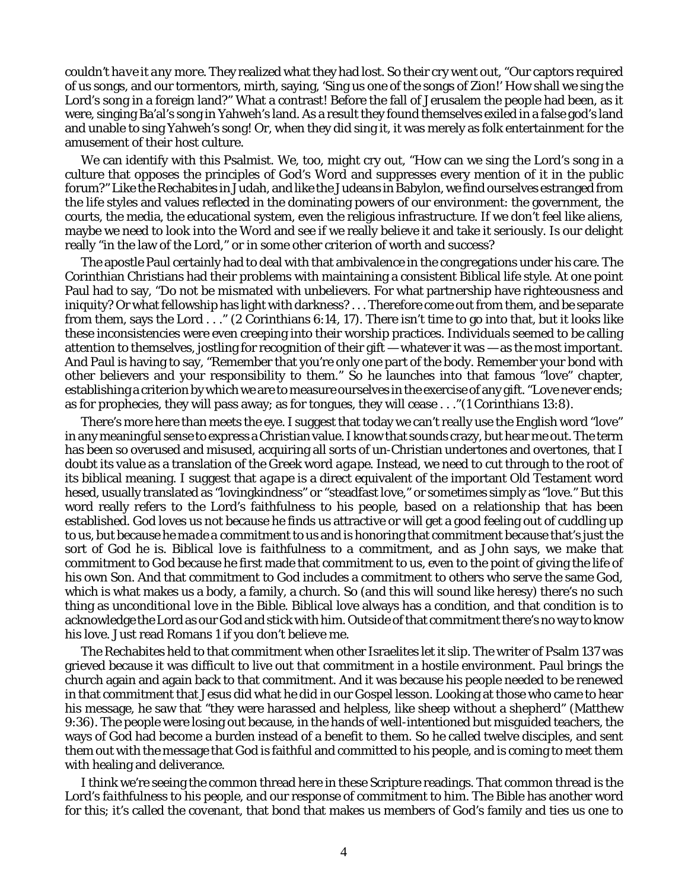*couldn't have it any more*. They realized what they had lost. So their cry went out, "Our captors required of us songs, and our tormentors, mirth, saying, 'Sing us one of the songs of Zion!' How shall we sing the Lord's song in a foreign land?" What a contrast! Before the fall of Jerusalem the people had been, as it were, singing Ba'al's song in Yahweh's land. As a result they found themselves exiled in a false god's land and unable to sing Yahweh's song! Or, when they did sing it, it was merely as folk entertainment for the amusement of their host culture.

We can identify with this Psalmist. We, too, might cry out, "How can we sing the Lord's song in a culture that opposes the principles of God's Word and suppresses every mention of it in the public forum?" Like the Rechabites in Judah, and like the Judeans in Babylon, we find ourselves estranged from the life styles and values reflected in the dominating powers of our environment: the government, the courts, the media, the educational system, even the religious infrastructure. If we don't feel like aliens, maybe we need to look into the Word and see if we really believe it and take it seriously. Is our delight really "in the law of the Lord," or in some other criterion of worth and success?

The apostle Paul certainly had to deal with that ambivalence in the congregations under his care. The Corinthian Christians had their problems with maintaining a consistent Biblical life style. At one point Paul had to say, "Do not be mismated with unbelievers. For what partnership have righteousness and iniquity? Or what fellowship has light with darkness? . . . Therefore come out from them, and be separate from them, says the Lord . . ." (2 Corinthians 6:14, 17). There isn't time to go into that, but it looks like these inconsistencies were even creeping into their worship practices. Individuals seemed to be calling attention to themselves, jostling for recognition of their gift — whatever it was — as the most important. And Paul is having to say, "Remember that you're only one part of the body. Remember your bond with other believers and your responsibility to them." So he launches into that famous "love" chapter, establishing a criterion by which we are to measure ourselves in the exercise of any gift. "Love never ends; as for prophecies, they will pass away; as for tongues, they will cease . . ."(1 Corinthians 13:8).

There's more here than meets the eye. I suggest that today we can't really use the English word "love" in any meaningful sense to express a Christian value. I know that sounds crazy, but hear me out. The term has been so overused and misused, acquiring all sorts of un-Christian undertones and overtones, that I doubt its value as a translation of the Greek word *agape*. Instead, we need to cut through to the root of its biblical meaning. I suggest that *agape* is a direct equivalent of the important Old Testament word *hesed*, usually translated as "lovingkindness" or "steadfast love," or sometimes simply as "love." But this word really refers to the Lord's faithfulness to his people, based on a relationship that has been established. God loves us not because he finds us attractive or will get a good feeling out of cuddling up to us, but because he *made a commitment* to us and is honoring that commitment because that's just the sort of God he is. Biblical love is *faithfulness to a commitment*, and as John says, we make that commitment to God because he first made that commitment to us, even to the point of giving the life of his own Son. And that commitment to God includes a commitment to others who serve the same God, which is what makes us a body, a family, a church. So (and this will sound like heresy) there's no such thing as *unconditional love* in the Bible. Biblical love always has a condition, and that condition is to acknowledge the Lord as our God and stick with him. Outside of that commitment there's no way to know his love. Just read Romans 1 if you don't believe me.

The Rechabites held to that commitment when other Israelites let it slip. The writer of Psalm 137 was grieved because it was difficult to live out that commitment in a hostile environment. Paul brings the church again and again back to that commitment. And it was because his people needed to be renewed in that commitment that Jesus did what he did in our Gospel lesson. Looking at those who came to hear his message, he saw that "they were harassed and helpless, like sheep without a shepherd" (Matthew 9:36). The people were losing out because, in the hands of well-intentioned but misguided teachers, the ways of God had become a burden instead of a benefit to them. So he called twelve disciples, and sent them out with the message that God is faithful and committed to his people, and is coming to meet them with healing and deliverance.

I think we're seeing the common thread here in these Scripture readings. That common thread is the Lord's *faithfulness* to his people, and our response of *commitment* to him. The Bible has another word for this; it's called the *covenant*, that bond that makes us members of God's family and ties us one to